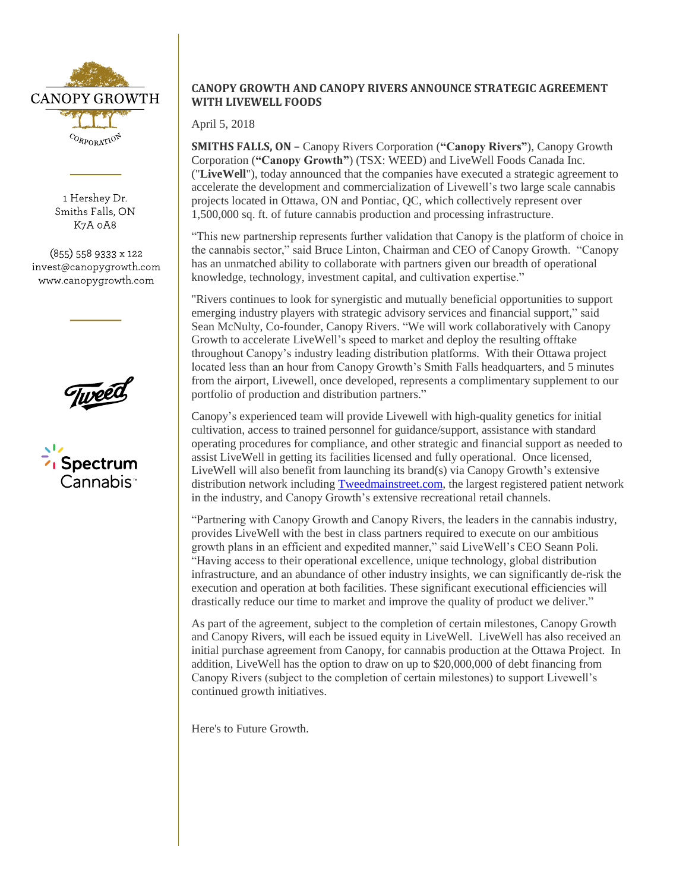

1 Hershey Dr. Smiths Falls, ON K7A 0A8

 $(855)$  558 9333 x 122 invest@canopygrowth.com www.canopygrowth.com

c<sub>luyee</sub>



# **CANOPY GROWTH AND CANOPY RIVERS ANNOUNCE STRATEGIC AGREEMENT WITH LIVEWELL FOODS**

April 5, 2018

**SMITHS FALLS, ON –** Canopy Rivers Corporation (**"Canopy Rivers"**), Canopy Growth Corporation (**"Canopy Growth"**) (TSX: WEED) and LiveWell Foods Canada Inc. ("**LiveWell**"), today announced that the companies have executed a strategic agreement to accelerate the development and commercialization of Livewell's two large scale cannabis projects located in Ottawa, ON and Pontiac, QC, which collectively represent over 1,500,000 sq. ft. of future cannabis production and processing infrastructure.

"This new partnership represents further validation that Canopy is the platform of choice in the cannabis sector," said Bruce Linton, Chairman and CEO of Canopy Growth. "Canopy has an unmatched ability to collaborate with partners given our breadth of operational knowledge, technology, investment capital, and cultivation expertise."

"Rivers continues to look for synergistic and mutually beneficial opportunities to support emerging industry players with strategic advisory services and financial support," said Sean McNulty, Co-founder, Canopy Rivers. "We will work collaboratively with Canopy Growth to accelerate LiveWell's speed to market and deploy the resulting offtake throughout Canopy's industry leading distribution platforms. With their Ottawa project located less than an hour from Canopy Growth's Smith Falls headquarters, and 5 minutes from the airport, Livewell, once developed, represents a complimentary supplement to our portfolio of production and distribution partners."

Canopy's experienced team will provide Livewell with high-quality genetics for initial cultivation, access to trained personnel for guidance/support, assistance with standard operating procedures for compliance, and other strategic and financial support as needed to assist LiveWell in getting its facilities licensed and fully operational. Once licensed, LiveWell will also benefit from launching its brand(s) via Canopy Growth's extensive distribution network including [Tweedmainstreet.com,](http://tweedmainstreet.com/) the largest registered patient network in the industry, and Canopy Growth's extensive recreational retail channels.

"Partnering with Canopy Growth and Canopy Rivers, the leaders in the cannabis industry, provides LiveWell with the best in class partners required to execute on our ambitious growth plans in an efficient and expedited manner," said LiveWell's CEO Seann Poli. "Having access to their operational excellence, unique technology, global distribution infrastructure, and an abundance of other industry insights, we can significantly de-risk the execution and operation at both facilities. These significant executional efficiencies will drastically reduce our time to market and improve the quality of product we deliver."

As part of the agreement, subject to the completion of certain milestones, Canopy Growth and Canopy Rivers, will each be issued equity in LiveWell. LiveWell has also received an initial purchase agreement from Canopy, for cannabis production at the Ottawa Project. In addition, LiveWell has the option to draw on up to \$20,000,000 of debt financing from Canopy Rivers (subject to the completion of certain milestones) to support Livewell's continued growth initiatives.

Here's to Future Growth.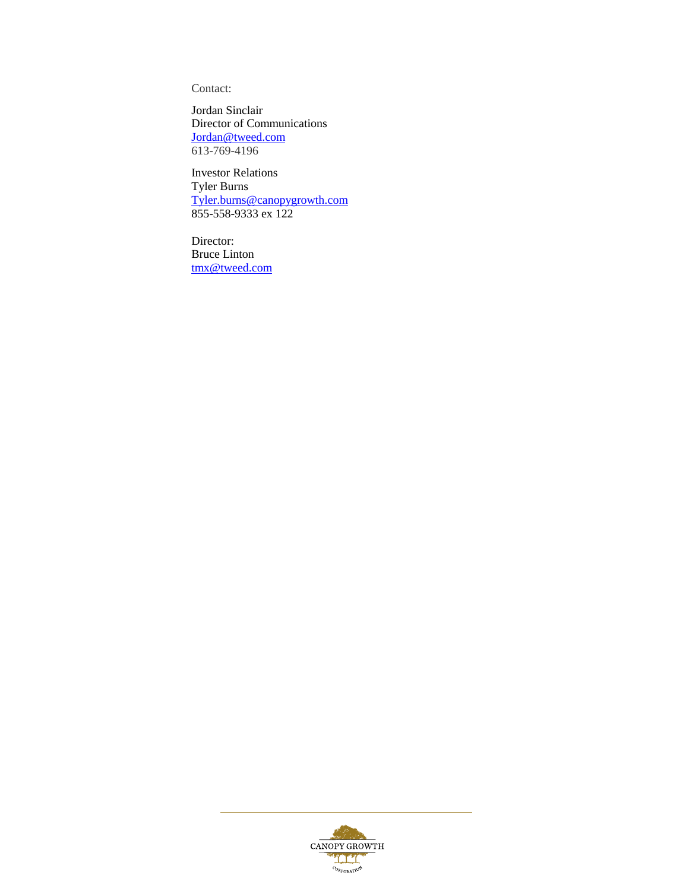Contact:

Jordan Sinclair Director of Communications [Jordan@tweed.com](mailto:Jordan@tweed.com) 613-769-4196

Investor Relations Tyler Burns [Tyler.burns@canopygrowth.com](mailto:Tyler.burns@canopygrowth.com) 855-558-9333 ex 122

Director: Bruce Linton [tmx@tweed.com](mailto:tmx@tweed.com)